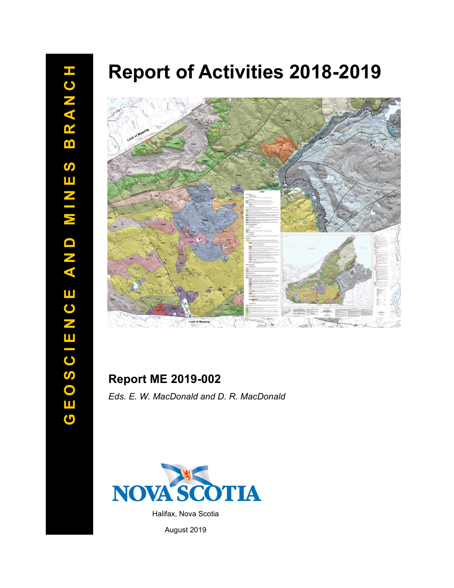# **Report of Activities 2018 -2019**



# **Report ME 2019 -002**

*Eds. E. W. MacDonald and D. R. MacDonald*



August 2019